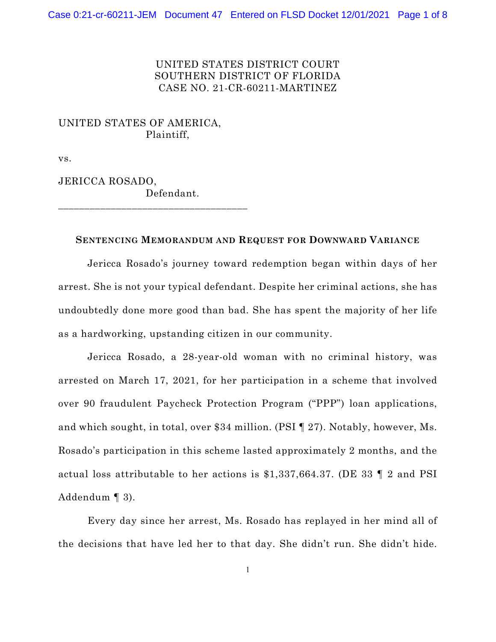### UNITED STATES DISTRICT COURT SOUTHERN DISTRICT OF FLORIDA CASE NO. 21-CR-60211-MARTINEZ

# UNITED STATES OF AMERICA, Plaintiff,

\_\_\_\_\_\_\_\_\_\_\_\_\_\_\_\_\_\_\_\_\_\_\_\_\_\_\_\_\_\_\_\_\_\_\_\_

vs.

JERICCA ROSADO, Defendant.

#### **SENTENCING MEMORANDUM AND REQUEST FOR DOWNWARD VARIANCE**

Jericca Rosado's journey toward redemption began within days of her arrest. She is not your typical defendant. Despite her criminal actions, she has undoubtedly done more good than bad. She has spent the majority of her life as a hardworking, upstanding citizen in our community.

Jericca Rosado, a 28-year-old woman with no criminal history, was arrested on March 17, 2021, for her participation in a scheme that involved over 90 fraudulent Paycheck Protection Program ("PPP") loan applications, and which sought, in total, over \$34 million. (PSI ¶ 27). Notably, however, Ms. Rosado's participation in this scheme lasted approximately 2 months, and the actual loss attributable to her actions is \$1,337,664.37. (DE 33 ¶ 2 and PSI Addendum ¶ 3).

Every day since her arrest, Ms. Rosado has replayed in her mind all of the decisions that have led her to that day. She didn't run. She didn't hide.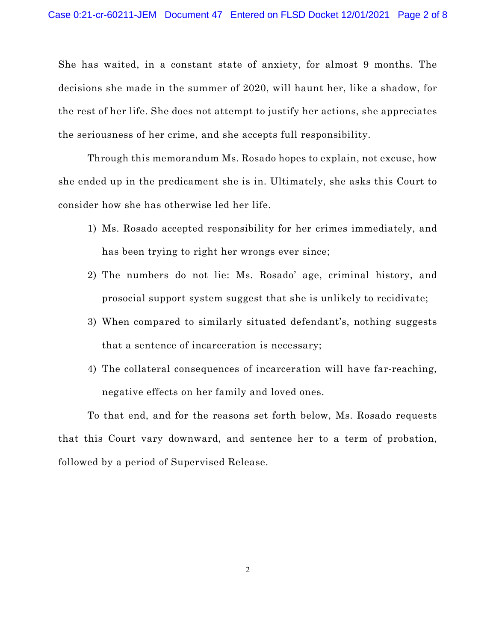She has waited, in a constant state of anxiety, for almost 9 months. The decisions she made in the summer of 2020, will haunt her, like a shadow, for the rest of her life. She does not attempt to justify her actions, she appreciates the seriousness of her crime, and she accepts full responsibility.

Through this memorandum Ms. Rosado hopes to explain, not excuse, how she ended up in the predicament she is in. Ultimately, she asks this Court to consider how she has otherwise led her life.

- 1) Ms. Rosado accepted responsibility for her crimes immediately, and has been trying to right her wrongs ever since;
- 2) The numbers do not lie: Ms. Rosado' age, criminal history, and prosocial support system suggest that she is unlikely to recidivate;
- 3) When compared to similarly situated defendant's, nothing suggests that a sentence of incarceration is necessary;
- 4) The collateral consequences of incarceration will have far-reaching, negative effects on her family and loved ones.

To that end, and for the reasons set forth below, Ms. Rosado requests that this Court vary downward, and sentence her to a term of probation, followed by a period of Supervised Release.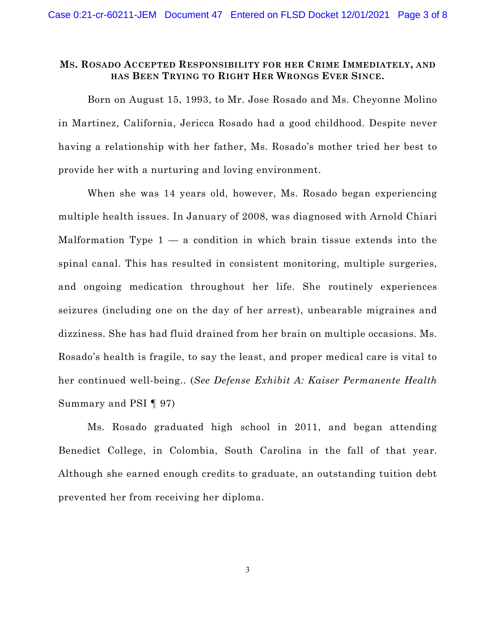#### **MS. ROSADO ACCEPTED RESPONSIBILITY FOR HER CRIME IMMEDIATELY, AND HAS BEEN TRYING TO RIGHT HER WRONGS EVER SINCE.**

Born on August 15, 1993, to Mr. Jose Rosado and Ms. Cheyonne Molino in Martinez, California, Jericca Rosado had a good childhood. Despite never having a relationship with her father, Ms. Rosado's mother tried her best to provide her with a nurturing and loving environment.

When she was 14 years old, however, Ms. Rosado began experiencing multiple health issues. In January of 2008, was diagnosed with Arnold Chiari Malformation Type  $1 - a$  condition in which brain tissue extends into the spinal canal. This has resulted in consistent monitoring, multiple surgeries, and ongoing medication throughout her life. She routinely experiences seizures (including one on the day of her arrest), unbearable migraines and dizziness. She has had fluid drained from her brain on multiple occasions. Ms. Rosado's health is fragile, to say the least, and proper medical care is vital to her continued well-being.. (*See Defense Exhibit A: Kaiser Permanente Health*  Summary and PSI ¶ 97)

Ms. Rosado graduated high school in 2011, and began attending Benedict College, in Colombia, South Carolina in the fall of that year. Although she earned enough credits to graduate, an outstanding tuition debt prevented her from receiving her diploma.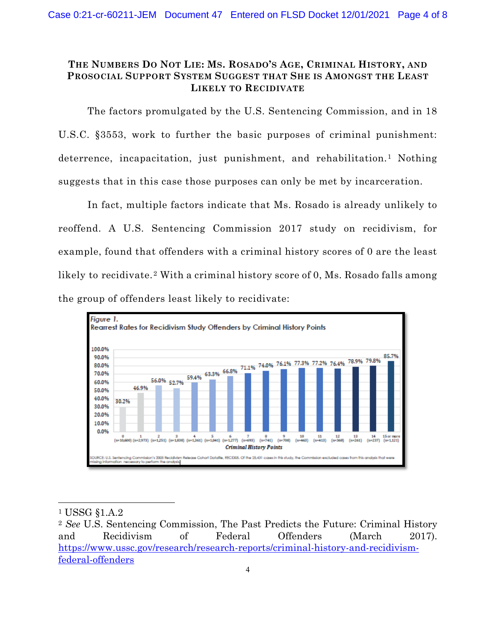## **THE NUMBERS DO NOT LIE: MS. ROSADO'S AGE, CRIMINAL HISTORY, AND PROSOCIAL SUPPORT SYSTEM SUGGEST THAT SHE IS AMONGST THE LEAST LIKELY TO RECIDIVATE**

The factors promulgated by the U.S. Sentencing Commission, and in 18 U.S.C. §3553, work to further the basic purposes of criminal punishment: deterrence, incapacitation, just punishment, and rehabilitation.[1](#page-5-0) Nothing suggests that in this case those purposes can only be met by incarceration.

In fact, multiple factors indicate that Ms. Rosado is already unlikely to reoffend. A U.S. Sentencing Commission 2017 study on recidivism, for example, found that offenders with a criminal history scores of 0 are the least likely to recidivate.<sup>[2](#page-5-0)</sup> With a criminal history score of 0, Ms. Rosado falls among the group of offenders least likely to recidivate:



 $\overline{a}$ 

<sup>1</sup> USSG §1.A.2

<sup>2</sup> *See* U.S. Sentencing Commission, The Past Predicts the Future: Criminal History and Recidivism of Federal Offenders (March 2017). [https://www.ussc.gov/research/research-reports/criminal-history-and-recidivism](https://www.ussc.gov/research/research-reports/criminal-history-and-recidivism-federal-offenders)[federal-offenders](https://www.ussc.gov/research/research-reports/criminal-history-and-recidivism-federal-offenders)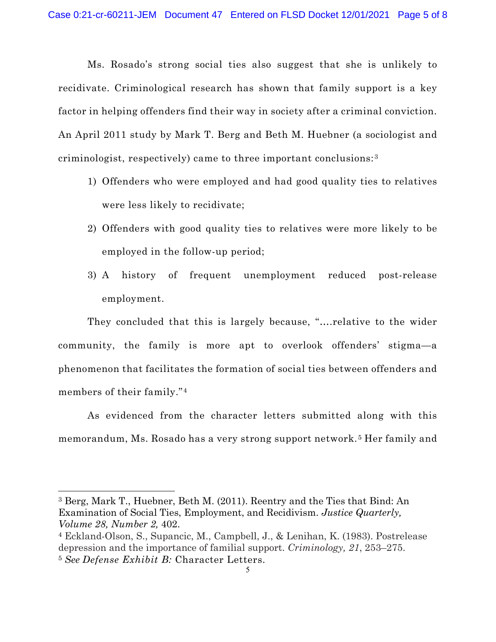Ms. Rosado's strong social ties also suggest that she is unlikely to recidivate. Criminological research has shown that family support is a key factor in helping offenders find their way in society after a criminal conviction. An April 2011 study by Mark T. Berg and Beth M. Huebner (a sociologist and criminologist, respectively) came to three important conclusions:[3](#page-5-0)

- 1) Offenders who were employed and had good quality ties to relatives were less likely to recidivate;
- 2) Offenders with good quality ties to relatives were more likely to be employed in the follow-up period;
- 3) A history of frequent unemployment reduced post-release employment.

They concluded that this is largely because, "….relative to the wider community, the family is more apt to overlook offenders' stigma—a phenomenon that facilitates the formation of social ties between offenders and members of their family."[4](#page-5-0)

As evidenced from the character letters submitted along with this memorandum, Ms. Rosado has a very strong support network.[5](#page-5-0) Her family and

 $\overline{a}$ 

<sup>3</sup> Berg, Mark T., Huebner, Beth M. (2011). Reentry and the Ties that Bind: An Examination of Social Ties, Employment, and Recidivism. *Justice Quarterly, Volume 28, Number 2,* 402.

<sup>4</sup> Eckland-Olson, S., Supancic, M., Campbell, J., & Lenihan, K. (1983). Postrelease depression and the importance of familial support. *Criminology, 21*, 253–275. <sup>5</sup> *See Defense Exhibit B:* Character Letters.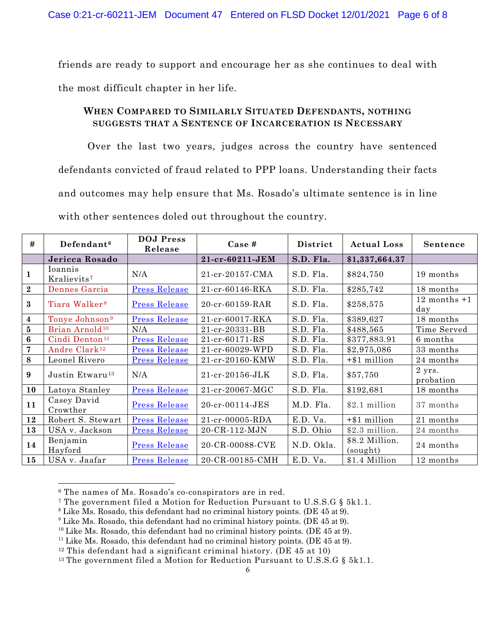friends are ready to support and encourage her as she continues to deal with the most difficult chapter in her life.

### **WHEN COMPARED TO SIMILARLY SITUATED DEFENDANTS, NOTHING SUGGESTS THAT A SENTENCE OF INCARCERATION IS NECESSARY**

Over the last two years, judges across the country have sentenced defendants convicted of fraud related to PPP loans. Understanding their facts and outcomes may help ensure that Ms. Rosado's ultimate sentence is in line with other sentences doled out throughout the country.

| #                | Defendant <sup>6</sup>             | <b>DOJ</b> Press<br>Release | Case #                | District   | <b>Actual Loss</b>         | Sentence                      |
|------------------|------------------------------------|-----------------------------|-----------------------|------------|----------------------------|-------------------------------|
|                  | Jericca Rosado                     |                             | 21-cr-60211-JEM       | S.D. Fla.  | \$1,337,664.37             |                               |
| 1                | Ioannis<br>Kralievits <sup>7</sup> | N/A                         | 21-cr-20157-CMA       | S.D. Fla.  | \$824,750                  | 19 months                     |
| $\bf{2}$         | Dennes Garcia                      | <b>Press Release</b>        | 21-cr-60146-RKA       | S.D. Fla.  | \$285,742                  | 18 months                     |
| $\bf{3}$         | Tiara Walker <sup>8</sup>          | <b>Press Release</b>        | $20-cr-60159-RAR$     | S.D. Fla.  | \$258,575                  | $12$ months $+1$<br>day       |
| $\boldsymbol{4}$ | Tonye Johnson <sup>9</sup>         | <b>Press Release</b>        | 21-cr-60017-RKA       | S.D. Fla.  | \$389,627                  | 18 months                     |
| $\overline{5}$   | Brian Arnold <sup>10</sup>         | N/A                         | 21-cr-20331-BB        | S.D. Fla.  | \$488,565                  | Time Served                   |
| $6\phantom{1}$   | Cindi Denton <sup>11</sup>         | <b>Press Release</b>        | $21-cr-60171-RS$      | S.D. Fla.  | \$377,883.91               | 6 months                      |
| $\overline{7}$   | Andre Clark <sup>12</sup>          | <b>Press Release</b>        | 21-cr-60029-WPD       | S.D. Fla.  | \$2,975,086                | 33 months                     |
| 8                | Leonel Rivero                      | <b>Press Release</b>        | 21-cr-20160-KMW       | S.D. Fla.  | $+ $1$ million             | 24 months                     |
| 9                | Justin Etwaru <sup>13</sup>        | N/A                         | $21-cr-20156$ -JLK    | S.D. Fla.  | \$57,750                   | $2 \text{ yrs.}$<br>probation |
| 10               | Latoya Stanley                     | <b>Press Release</b>        | $21-cr - 20067 - MGC$ | S.D. Fla.  | \$192,681                  | 18 months                     |
| 11               | Casey David<br>Crowther            | <b>Press Release</b>        | 20-cr-00114-JES       | M.D. Fla.  | \$2.1 million              | 37 months                     |
| 12               | Robert S. Stewart                  | <b>Press Release</b>        | 21-cr-00005-RDA       | E.D. Va.   | $+$ \$1 million            | 21 months                     |
| 13               | USA v. Jackson                     | <b>Press Release</b>        | 20-CR-112-MJN         | S.D. Ohio  | \$2.3 million.             | 24 months                     |
| 14               | Benjamin<br>Hayford                | <b>Press Release</b>        | 20-CR-00088-CVE       | N.D. Okla. | \$8.2 Million.<br>(sought) | 24 months                     |
| 15               | USA v. Jaafar                      | <b>Press Release</b>        | 20-CR-00185-CMH       | E.D. Va.   | \$1.4 Million              | 12 months                     |

<sup>6</sup> The names of Ms. Rosado's co-conspirators are in red.

 $\overline{a}$ 

- <sup>7</sup> The government filed a Motion for Reduction Pursuant to U.S.S.G § 5k1.1.
- <sup>8</sup> Like Ms. Rosado, this defendant had no criminal history points. (DE 45 at 9).
- <sup>9</sup> Like Ms. Rosado, this defendant had no criminal history points. (DE 45 at 9).
- <sup>10</sup> Like Ms. Rosado, this defendant had no criminal history points. (DE 45 at 9).
- <sup>11</sup> Like Ms. Rosado, this defendant had no criminal history points. (DE 45 at 9).

<span id="page-5-0"></span><sup>13</sup> The government filed a Motion for Reduction Pursuant to U.S.S.G  $\S$  5k1.1.

 $12$  This defendant had a significant criminal history. (DE 45 at 10)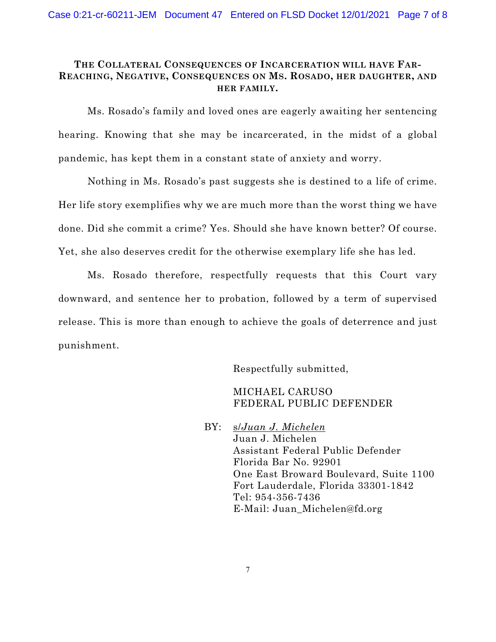### **THE COLLATERAL CONSEQUENCES OF INCARCERATION WILL HAVE FAR-REACHING, NEGATIVE, CONSEQUENCES ON MS. ROSADO, HER DAUGHTER, AND HER FAMILY.**

Ms. Rosado's family and loved ones are eagerly awaiting her sentencing hearing. Knowing that she may be incarcerated, in the midst of a global pandemic, has kept them in a constant state of anxiety and worry.

Nothing in Ms. Rosado's past suggests she is destined to a life of crime. Her life story exemplifies why we are much more than the worst thing we have done. Did she commit a crime? Yes. Should she have known better? Of course. Yet, she also deserves credit for the otherwise exemplary life she has led.

Ms. Rosado therefore, respectfully requests that this Court vary downward, and sentence her to probation, followed by a term of supervised release. This is more than enough to achieve the goals of deterrence and just punishment.

Respectfully submitted,

MICHAEL CARUSO FEDERAL PUBLIC DEFENDER

BY: s/*Juan J. Michelen* Juan J. Michelen Assistant Federal Public Defender Florida Bar No. 92901 One East Broward Boulevard, Suite 1100 Fort Lauderdale, Florida 33301-1842 Tel: 954-356-7436 E-Mail: Juan\_Michelen@fd.org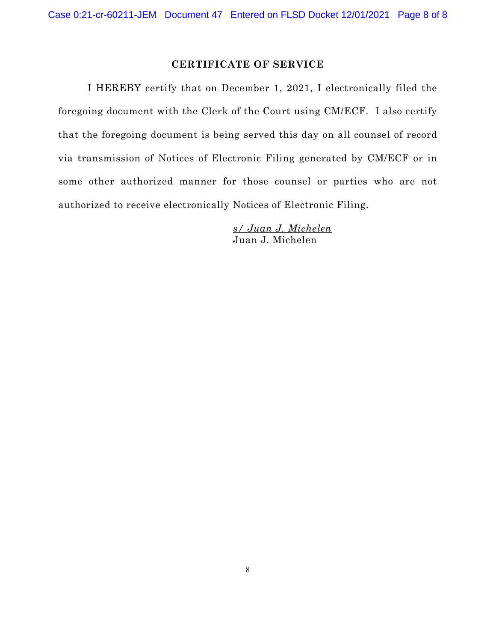#### **CERTIFICATE OF SERVICE**

I HEREBY certify that on December 1, 2021, I electronically filed the foregoing document with the Clerk of the Court using CM/ECF. I also certify that the foregoing document is being served this day on all counsel of record via transmission of Notices of Electronic Filing generated by CM/ECF or in some other authorized manner for those counsel or parties who are not authorized to receive electronically Notices of Electronic Filing.

> *s/ Juan J. Michelen*  Juan J. Michelen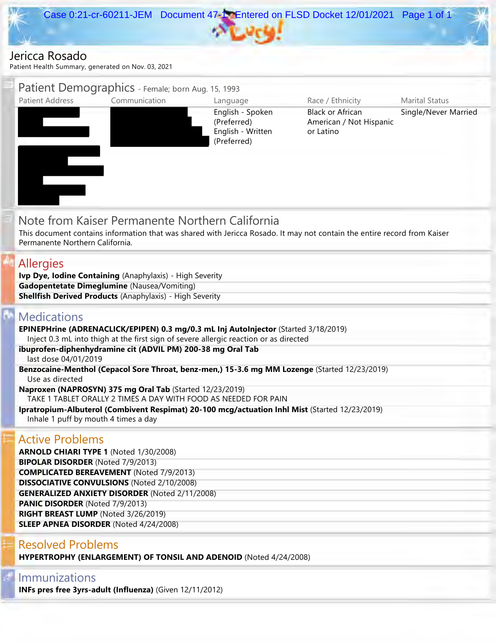

# Jericca Rosado



# Immunizations

**INFs pres free 3yrs-adult (Influenza)** (Given 12/11/2012)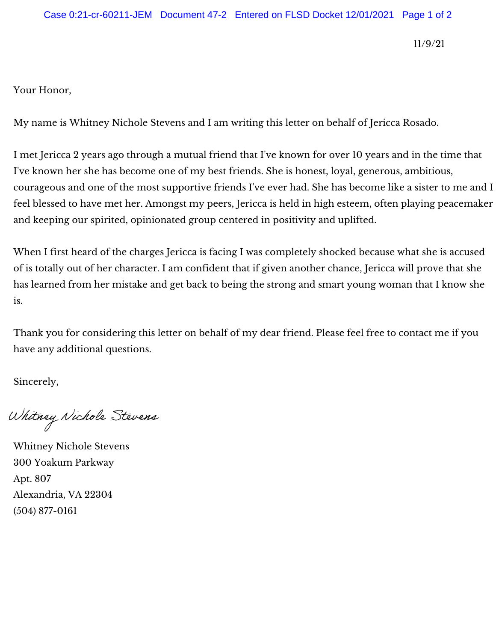11/9/21

Your Honor,

My name is Whitney Nichole Stevens and I am writing this letter on behalf of Jericca Rosado.

I met Jericca 2 years ago through a mutual friend that I've known for over 10 years and in the time that I've known her she has become one of my best friends. She is honest, loyal, generous, ambitious, courageous and one of the most supportive friends I've ever had. She has become like a sister to me and I feel blessed to have met her. Amongst my peers, Jericca is held in high esteem, often playing peacemaker and keeping our spirited, opinionated group centered in positivity and uplifted.

When I first heard of the charges Jericca is facing I was completely shocked because what she is accused of is totally out of her character. I am confident that if given another chance, Jericca will prove that she has learned from her mistake and get back to being the strong and smart young woman that I know she is.

Thank you for considering this letter on behalf of my dear friend. Please feel free to contact me if you have any additional questions.

Sincerely,

Whitney Nichole Stevens

Whitney Nichole Stevens 300 Yoakum Parkway Apt. 807 Alexandria, VA 22304 [\(504\) 877-0161](tel:(504)%20877-0161)